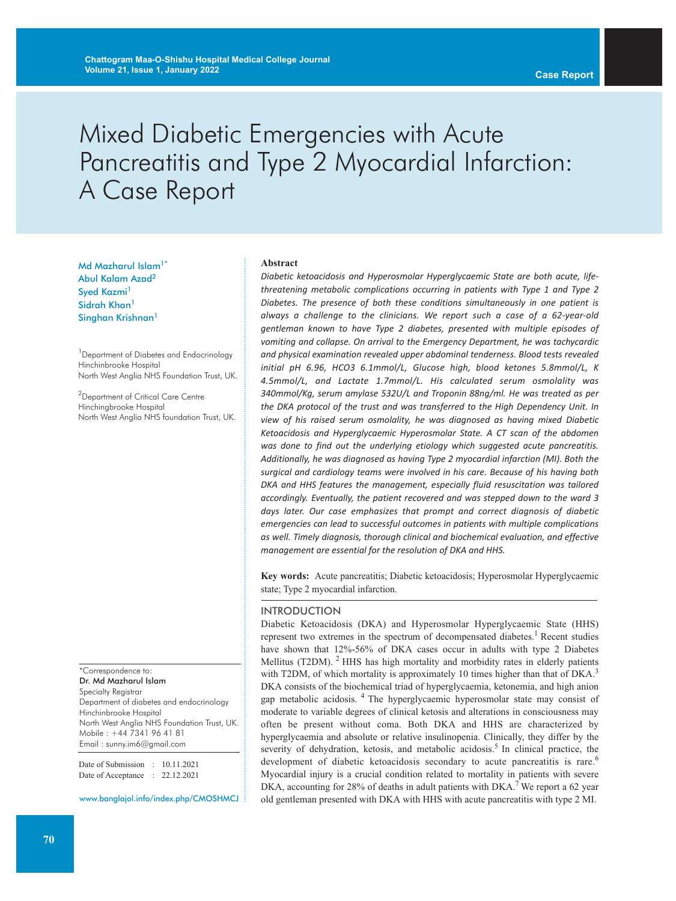# Mixed Diabetic Emergencies with Acute Pancreatitis and Type 2 Myocardial Infarction: A Case Report

Md Mazharul Islam<sup>1\*</sup> Abul Kalam Azad<sup>2</sup> Syed Kazmi<sup>1</sup> Sidrah Khan<sup>1</sup> Singhan Krishnan<sup>1</sup>

<sup>1</sup> Department of Diabetes and Endocrinology Hinchinbrooke Hospital North West Anglia NHS Foundation Trust, UK.

<sup>2</sup>Department of Critical Care Centre Hinchingbrooke Hospital North West Anglia NHS foundation Trust, UK.

\*Correspondence to: Dr. Md Mazharul Islam Specialty Registrar Department of diabetes and endocrinology Hinchinbrooke Hospital North West Anglia NHS Foundation Trust, UK. Mobile : +44 7341 96 41 81 Email : sunny.im6@gmail.com

Date of Submission : 10.11.2021 Date of Acceptance : 22.12.2021

www.banglajol.info/index.php/CMOSHMCJ

#### **Abstract**

*Diabetic ketoacidosis and Hyperosmolar Hyperglycaemic State are both acute, lifethreatening metabolic complications occurring in patients with Type 1 and Type 2 Diabetes. The presence of both these conditions simultaneously in one patient is always a challenge to the clinicians. We report such a case of a 62-year-old gentleman known to have Type 2 diabetes, presented with multiple episodes of vomiting and collapse. On arrival to the Emergency Department, he was tachycardic and physical examination revealed upper abdominal tenderness. Blood tests revealed initial pH 6.96, HCO3 6.1mmol/L, Glucose high, blood ketones 5.8mmol/L, K 4.5mmol/L, and Lactate 1.7mmol/L. His calculated serum osmolality was 340mmol/Kg, serum amylase 532U/L and Troponin 88ng/ml. He was treated as per the DKA protocol of the trust and was transferred to the High Dependency Unit. In view of his raised serum osmolality, he was diagnosed as having mixed Diabetic Ketoacidosis and Hyperglycaemic Hyperosmolar State. A CT scan of the abdomen was done to find out the underlying etiology which suggested acute pancreatitis. Additionally, he was diagnosed as having Type 2 myocardial infarction (MI). Both the surgical and cardiology teams were involved in his care. Because of his having both DKA and HHS features the management, especially fluid resuscitation was tailored accordingly. Eventually, the patient recovered and was stepped down to the ward 3 days later. Our case emphasizes that prompt and correct diagnosis of diabetic emergencies can lead to successful outcomes in patients with multiple complications as well. Timely diagnosis, thorough clinical and biochemical evaluation, and effective management are essential for the resolution of DKA and HHS.*

**Key words:** Acute pancreatitis; Diabetic ketoacidosis; Hyperosmolar Hyperglycaemic state; Type 2 myocardial infarction.

#### INTRODUCTION

Diabetic Ketoacidosis (DKA) and Hyperosmolar Hyperglycaemic State (HHS) represent two extremes in the spectrum of decompensated diabetes.<sup>1</sup> Recent studies have shown that 12%-56% of DKA cases occur in adults with type 2 Diabetes Mellitus (T2DM).  $2$  HHS has high mortality and morbidity rates in elderly patients with T2DM, of which mortality is approximately 10 times higher than that of DKA.<sup>3</sup> DKA consists of the biochemical triad of hyperglycaemia, ketonemia, and high anion gap metabolic acidosis. <sup>4</sup> The hyperglycaemic hyperosmolar state may consist of moderate to variable degrees of clinical ketosis and alterations in consciousness may often be present without coma. Both DKA and HHS are characterized by hyperglycaemia and absolute or relative insulinopenia. Clinically, they differ by the severity of dehydration, ketosis, and metabolic acidosis.<sup>5</sup> In clinical practice, the development of diabetic ketoacidosis secondary to acute pancreatitis is rare.<sup>6</sup> Myocardial injury is a crucial condition related to mortality in patients with severe DKA, accounting for 28% of deaths in adult patients with DKA.<sup>7</sup> We report a 62 year old gentleman presented with DKA with HHS with acute pancreatitis with type 2 MI.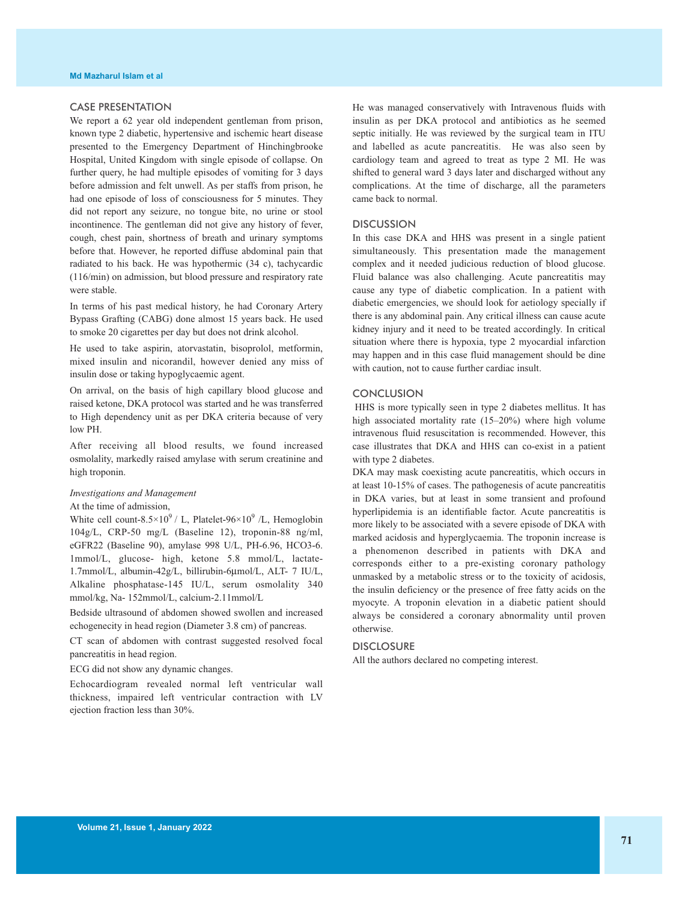### CASE PRESENTATION

We report a 62 year old independent gentleman from prison, known type 2 diabetic, hypertensive and ischemic heart disease presented to the Emergency Department of Hinchingbrooke Hospital, United Kingdom with single episode of collapse. On further query, he had multiple episodes of vomiting for 3 days before admission and felt unwell. As per staffs from prison, he had one episode of loss of consciousness for 5 minutes. They did not report any seizure, no tongue bite, no urine or stool incontinence. The gentleman did not give any history of fever, cough, chest pain, shortness of breath and urinary symptoms before that. However, he reported diffuse abdominal pain that radiated to his back. He was hypothermic (34 c), tachycardic (116/min) on admission, but blood pressure and respiratory rate were stable.

In terms of his past medical history, he had Coronary Artery Bypass Grafting (CABG) done almost 15 years back. He used to smoke 20 cigarettes per day but does not drink alcohol.

He used to take aspirin, atorvastatin, bisoprolol, metformin, mixed insulin and nicorandil, however denied any miss of insulin dose or taking hypoglycaemic agent.

On arrival, on the basis of high capillary blood glucose and raised ketone, DKA protocol was started and he was transferred to High dependency unit as per DKA criteria because of very low PH.

After receiving all blood results, we found increased osmolality, markedly raised amylase with serum creatinine and high troponin.

#### *Investigations and Management*

At the time of admission,

White cell count-8.5×10<sup>9</sup> / L, Platelet-96×10<sup>9</sup> / L, Hemoglobin 104g/L, CRP-50 mg/L (Baseline 12), troponin-88 ng/ml, eGFR22 (Baseline 90), amylase 998 U/L, PH-6.96, HCO3-6. 1mmol/L, glucose- high, ketone 5.8 mmol/L, lactate-1.7mmol/L, albumin-42g/L, billirubin-6µmol/L, ALT- 7 IU/L, Alkaline phosphatase-145 IU/L, serum osmolality 340 mmol/kg, Na- 152mmol/L, calcium-2.11mmol/L

Bedside ultrasound of abdomen showed swollen and increased echogenecity in head region (Diameter 3.8 cm) of pancreas.

CT scan of abdomen with contrast suggested resolved focal pancreatitis in head region.

ECG did not show any dynamic changes.

Echocardiogram revealed normal left ventricular wall thickness, impaired left ventricular contraction with LV ejection fraction less than 30%.

He was managed conservatively with Intravenous fluids with insulin as per DKA protocol and antibiotics as he seemed septic initially. He was reviewed by the surgical team in ITU and labelled as acute pancreatitis. He was also seen by cardiology team and agreed to treat as type 2 MI. He was shifted to general ward 3 days later and discharged without any complications. At the time of discharge, all the parameters came back to normal.

#### **DISCUSSION**

In this case DKA and HHS was present in a single patient simultaneously. This presentation made the management complex and it needed judicious reduction of blood glucose. Fluid balance was also challenging. Acute pancreatitis may cause any type of diabetic complication. In a patient with diabetic emergencies, we should look for aetiology specially if there is any abdominal pain. Any critical illness can cause acute kidney injury and it need to be treated accordingly. In critical situation where there is hypoxia, type 2 myocardial infarction may happen and in this case fluid management should be dine with caution, not to cause further cardiac insult.

#### **CONCLUSION**

HHS is more typically seen in type 2 diabetes mellitus. It has high associated mortality rate (15–20%) where high volume intravenous fluid resuscitation is recommended. However, this case illustrates that DKA and HHS can co-exist in a patient with type 2 diabetes.

DKA may mask coexisting acute pancreatitis, which occurs in at least 10-15% of cases. The pathogenesis of acute pancreatitis in DKA varies, but at least in some transient and profound hyperlipidemia is an identifiable factor. Acute pancreatitis is more likely to be associated with a severe episode of DKA with marked acidosis and hyperglycaemia. The troponin increase is a phenomenon described in patients with DKA and corresponds either to a pre-existing coronary pathology unmasked by a metabolic stress or to the toxicity of acidosis, the insulin deficiency or the presence of free fatty acids on the myocyte. A troponin elevation in a diabetic patient should always be considered a coronary abnormality until proven otherwise.

## **DISCLOSURE**

All the authors declared no competing interest.